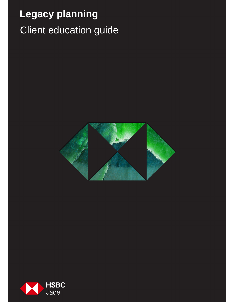# Client education guide **Legacy planning**



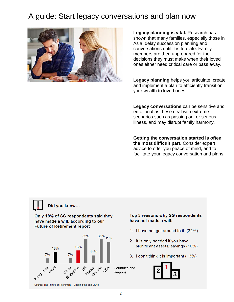## A guide: Start legacy conversations and plan now



**Legacy planning is vital.** Research has shown that many families, especially those in Asia, delay succession planning and conversations until it is too late. Family members are then unprepared for the decisions they must make when their loved ones either need critical care or pass away.

**Legacy planning** helps you articulate, create and implement a plan to efficiently transition your wealth to loved ones.

**Legacy conversations** can be sensitive and emotional as these deal with extreme scenarios such as passing on, or serious illness, and may disrupt family harmony.

**Getting the conversation started is often the most difficult part.** Consider expert advice to offer you peace of mind, and to facilitate your legacy conversation and plans.

## Did you know...

Only 18% of SG respondents said they have made a will, according to our **Future of Retirement report** 



#### Top 3 reasons why SG respondents have not made a will:

- 1. I have not got around to it (32%)
- 2. It is only needed if you have significant assets/ savings (16%)
- 3. I don't think it is important (13%)



Source: The Future of Retirement - Bridging the gap, 2018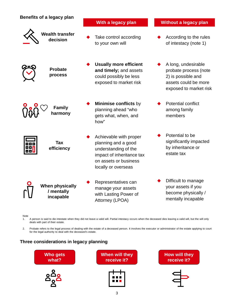| Benefits of a legacy plan                         | With a legacy plan                                                                                                                                 | Without a legacy plan                                                                                                |
|---------------------------------------------------|----------------------------------------------------------------------------------------------------------------------------------------------------|----------------------------------------------------------------------------------------------------------------------|
| <b>Wealth transfer</b><br>decision                | Take control according<br>to your own will                                                                                                         | According to the rules<br>of intestacy (note 1)                                                                      |
| <b>Probate</b><br>process                         | <b>Usually more efficient</b><br>and timely; and assets<br>could possibly be less<br>exposed to market risk                                        | A long, undesirable<br>probate process (note<br>2) is possible and<br>assets could be more<br>exposed to market risk |
| <b>Family</b><br>harmony                          | Minimise conflicts by<br>planning ahead "who<br>gets what, when, and<br>how"                                                                       | <b>Potential conflict</b><br>among family<br>members                                                                 |
| <b>Tax</b><br>efficiency                          | Achievable with proper<br>planning and a good<br>understanding of the<br>impact of inheritance tax<br>on assets or business<br>locally or overseas | Potential to be<br>significantly impacted<br>by inheritance or<br>estate tax                                         |
| <b>When physically</b><br>/ mentally<br>incapable | Representatives can<br>manage your assets<br>with Lasting Power of<br>Attorney (LPOA)                                                              | Difficult to manage<br>your assets if you<br>become physically /<br>mentally incapable                               |

Note

1. A person is said to die intestate when they did not leave a valid will. Partial intestacy occurs when the deceased dies leaving a valid will, but the will only deals with part of their estate.

2. Probate refers to the legal process of dealing with the estate of a deceased person. It involves the executor or administrator of the estate applying to court for the legal authority to deal with the deceased's estate.

### **Three considerations in legacy planning**

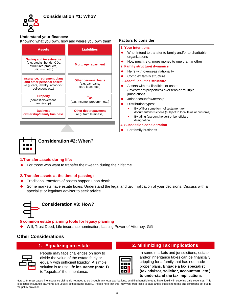

#### **Understand your finances:**

Knowing what you own, how and where you own them **Factors to consider**

| <b>Assets</b>                                                                                                   | <b>Liabilities</b>                                                  | 1. Your intentions<br>Who: Intend to                                        |  |
|-----------------------------------------------------------------------------------------------------------------|---------------------------------------------------------------------|-----------------------------------------------------------------------------|--|
| <b>Saving and investments</b><br>(e.g. stocks, bonds, CDs,<br>structured products,<br>unit trust, etc.)         | Mortgage repayment                                                  | organizations<br>How much: e.c<br>2. Family structure<br>Heirs with over    |  |
| Insurance, retirement plans<br>and other personal assets<br>(e.g. cars, jewelry, artworks/<br>collections etc.) | <b>Other personal loans</b><br>(e.g. car loans,<br>card loans etc.) | Complex famil<br>3. Asset/ liabilities<br>Assets with tax<br>(Investment/pr |  |
| <b>Property</b><br>(domestic/overseas,<br>ownership)                                                            | Tax<br>(e.g. Income, property, etc.)                                | jurisdictions<br>Joint account/<br>Distribution typ                         |  |
| <b>Business</b><br>ownership/Family business                                                                    | Other debt repayment<br>(e.g. from business)                        | By Will or s<br>document/i<br>By titling (a<br>designation                  |  |

| 1. Your intentions                                                                                                                                            |
|---------------------------------------------------------------------------------------------------------------------------------------------------------------|
| Who: Intend to transfer to family and/or to charitable<br>organizations                                                                                       |
| How much: e.g. more money to one than another                                                                                                                 |
| 2. Family structure/ dynamics                                                                                                                                 |
| Heirs with overseas nationality                                                                                                                               |
| Complex family structure                                                                                                                                      |
| 3. Asset/ liabilities structure                                                                                                                               |
| Assets with tax liabilities or asset<br>(Investment/properties) overseas or multiple<br>jurisdictions                                                         |
| Joint account/ownership                                                                                                                                       |
| Distribution types:                                                                                                                                           |
| By Will or some form of testamentary<br>document/instructions (subject to local laws or customs)<br>By titling (account holder) or beneficiary<br>designation |
| <b>4. Succession consideration</b>                                                                                                                            |
| For family business                                                                                                                                           |



**Consideration #2: When?** 

#### **1.Transfer assets during life:**

For those who want to transfer their wealth during their lifetime

#### **2. Transfer assets at the time of passing:**

- ◆ Traditional transfers of assets happen upon death
- Some markets have estate taxes. Understand the legal and tax implication of your decisions. Discuss with a specialist or legal/tax advisor to seek advice



#### **Consideration #3: How?**

#### **5 common estate planning tools for legacy planning**

Will, Trust Deed, Life insurance nomination, Lasting Power of Attorney, Gift

#### **Other Considerations**



People may face challenges on how to divide the value of the estate fairly or equally with sufficient liquidity. A simple solution is to use **life insurance (note 1)**  to "equalize" the inheritance.



**1. Equalizing an estate 2. Minimizing Tax Implications**

In some markets and jurisdictions, estate and/or inheritance taxes can be financially crippling for a family that has not made proper plans. **Engage a tax specialist (tax advisor, solicitor, accountant, etc.) to understand the tax implications**

Note 1: In most cases, life insurance claims do not need to go through any legal applications, enabling beneficiaries to have liquidity in covering daily expenses. This is because insurance payments are usually settled rather quickly. Please note that this may vary from case to case and is subject to terms and conditions set out in the policy provision.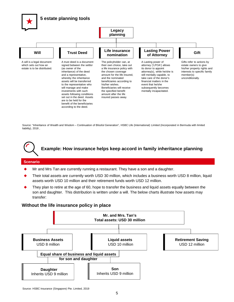

Source: "Inheritance of Wealth and Wisdom – Continuation of Blissful Generation", HSBC Life (International) Limited (Incorporated in Bermuda with limited liability), 2018,



#### **Scenario**

- Mr and Mrs Tan are currently running a restaurant. They have a son and a daughter.
- Their total assets are currently worth USD 30 million, which includes a business worth USD 8 million, liquid assets worth USD 10 million and their retirement funds worth USD 12 million.
- They plan to retire at the age of 60, hope to transfer the business and liquid assets equally between the son and daughter. This distribution is written under a will. The below charts illustrate how assets may transfer:

#### **Without the life insurance policy in place**